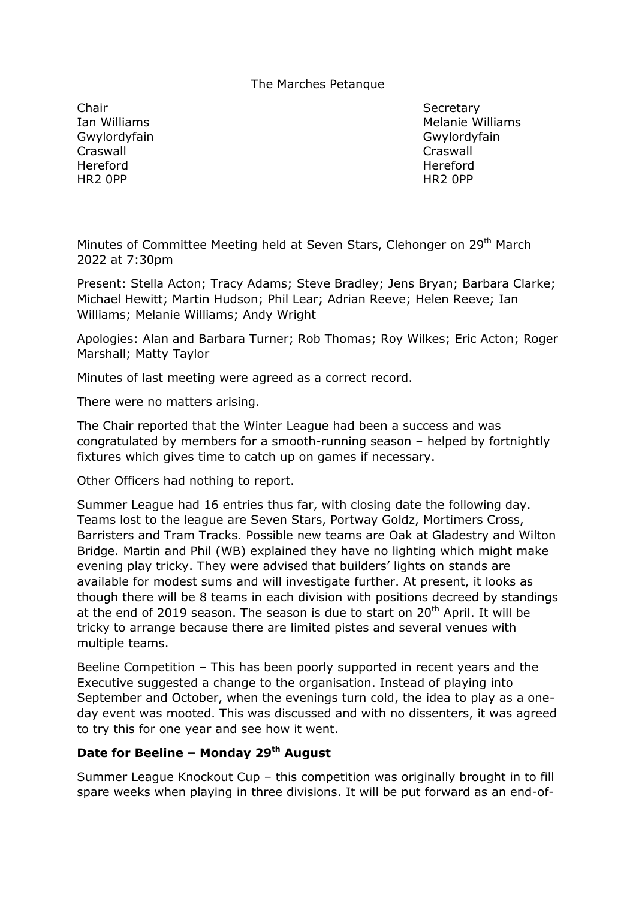#### The Marches Petanque

Chair Secretary Secretary Gwylordyfain Gwylordyfain Craswall Craswall Hereford Hereford HR2 0PP HR2 0PP

Ian Williams **Melanie Williams** Melanie Williams

Minutes of Committee Meeting held at Seven Stars, Clehonger on 29<sup>th</sup> March 2022 at 7:30pm

Present: Stella Acton; Tracy Adams; Steve Bradley; Jens Bryan; Barbara Clarke; Michael Hewitt; Martin Hudson; Phil Lear; Adrian Reeve; Helen Reeve; Ian Williams; Melanie Williams; Andy Wright

Apologies: Alan and Barbara Turner; Rob Thomas; Roy Wilkes; Eric Acton; Roger Marshall; Matty Taylor

Minutes of last meeting were agreed as a correct record.

There were no matters arising.

The Chair reported that the Winter League had been a success and was congratulated by members for a smooth-running season – helped by fortnightly fixtures which gives time to catch up on games if necessary.

Other Officers had nothing to report.

Summer League had 16 entries thus far, with closing date the following day. Teams lost to the league are Seven Stars, Portway Goldz, Mortimers Cross, Barristers and Tram Tracks. Possible new teams are Oak at Gladestry and Wilton Bridge. Martin and Phil (WB) explained they have no lighting which might make evening play tricky. They were advised that builders' lights on stands are available for modest sums and will investigate further. At present, it looks as though there will be 8 teams in each division with positions decreed by standings at the end of 2019 season. The season is due to start on  $20<sup>th</sup>$  April. It will be tricky to arrange because there are limited pistes and several venues with multiple teams.

Beeline Competition – This has been poorly supported in recent years and the Executive suggested a change to the organisation. Instead of playing into September and October, when the evenings turn cold, the idea to play as a oneday event was mooted. This was discussed and with no dissenters, it was agreed to try this for one year and see how it went.

# **Date for Beeline – Monday 29th August**

Summer League Knockout Cup – this competition was originally brought in to fill spare weeks when playing in three divisions. It will be put forward as an end-of